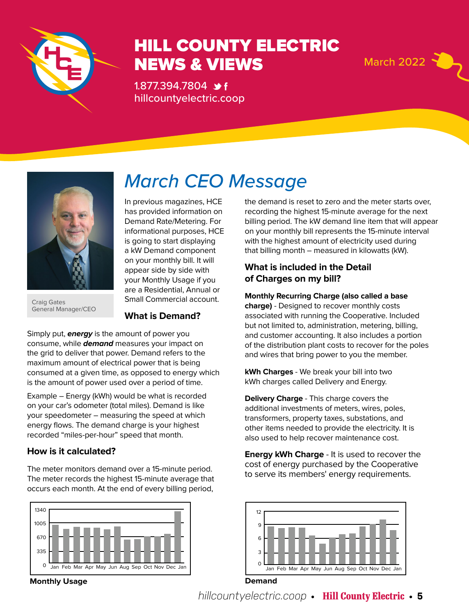

# HILL COUNTY ELECTRIC NEWS & VIEWS March 2022 1

1.877.394.7804 **\*** hillcountyelectric.coop



Craig Gates General Manager/CEO

# *March CEO Message*

In previous magazines, HCE has provided information on Demand Rate/Metering. For informational purposes, HCE is going to start displaying a kW Demand component on your monthly bill. It will appear side by side with your Monthly Usage if you are a Residential, Annual or Small Commercial account.

**What is Demand?**

Simply put, **energy** is the amount of power you consume, while **demand** measures your impact on the grid to deliver that power. Demand refers to the maximum amount of electrical power that is being consumed at a given time, as opposed to energy which is the amount of power used over a period of time.

Example – Energy (kWh) would be what is recorded on your car's odometer (total miles). Demand is like your speedometer – measuring the speed at which energy flows. The demand charge is your highest recorded "miles-per-hour" speed that month.

## **How is it calculated?**

The meter monitors demand over a 15-minute period. The meter records the highest 15-minute average that occurs each month. At the end of every billing period,



**Monthly Usage**

the demand is reset to zero and the meter starts over, recording the highest 15-minute average for the next billing period. The kW demand line item that will appear on your monthly bill represents the 15-minute interval with the highest amount of electricity used during that billing month – measured in kilowatts (kW).

### **What is included in the Detail of Charges on my bill?**

#### **Monthly Recurring Charge (also called a base**

**charge)** - Designed to recover monthly costs associated with running the Cooperative. Included but not limited to, administration, metering, billing, and customer accounting. It also includes a portion of the distribution plant costs to recover for the poles and wires that bring power to you the member.

**kWh Charges** - We break your bill into two kWh charges called Delivery and Energy.

**Delivery Charge** - This charge covers the additional investments of meters, wires, poles, transformers, property taxes, substations, and other items needed to provide the electricity. It is also used to help recover maintenance cost.

**Energy kWh Charge** - It is used to recover the cost of energy purchased by the Cooperative to serve its members' energy requirements.



**Demand**

*hillcountyelectric.coop* • **Hill County Electric** • **5**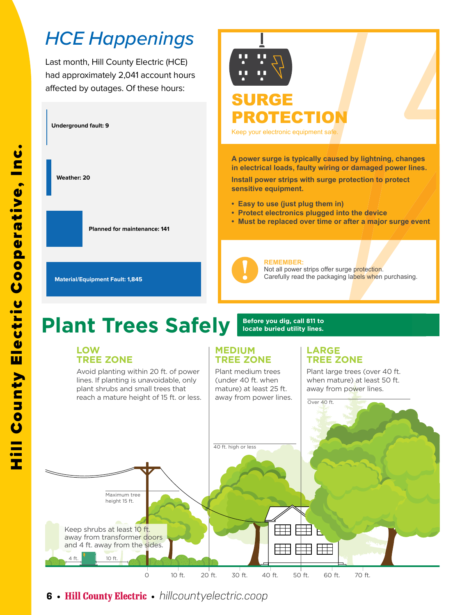# *HCE Happenings*

Last month, Hill County Electric (HCE) had approximately 2,041 account hours affected by outages. Of these hours:





Keep your electronic equipment safe.

**A power surge is typically caused by lightning, changes in electrical loads, faulty wiring or damaged power lines.** 

**Install power strips with surge protection to protect sensitive equipment.** 

- **Easy to use (just plug them in)**
- **Protect electronics plugged into the device**
- **Must be replaced over time or after a major surge event**



**REMEMBER:** Not all power strips offer surge protection. Carefully read the packaging labels when purchasing.

# **Plant Trees Safely Before you dig, call 811 to Refore Safely Plant Trees Safely**

### **LOW LOW TREE ZONE TREE ZONE**

**Material/Equipment Fault: 1,845**

Avoid planting within 20 ft. of power Avoid planting within 20 ft. of power lines. If planting is unavoidable, only lines. If planting is unavoidable, only plant shrubs and small trees that plant shrubs and small trees that reach a mature height of 15 ft. or less. reach a mature height of 15 ft. or less.

#### **MEDIUM MEDIUM TREE ZONE TREE ZONE**

Plant medium trees Plant medium trees (under 40 ft. when (under 40 ft. when mature) at least 25 ft. mature) at least 25 ft. away from power lines. away from power lines.

### **LARGE LARGE TREE ZONE TREE ZONE**

Plant large trees (over 40 ft. when mature) at least 50 ft. when mature) at least 50 ft. away from power lines.



**6** • **Hill County Electric** • *hillcountyelectric.coop*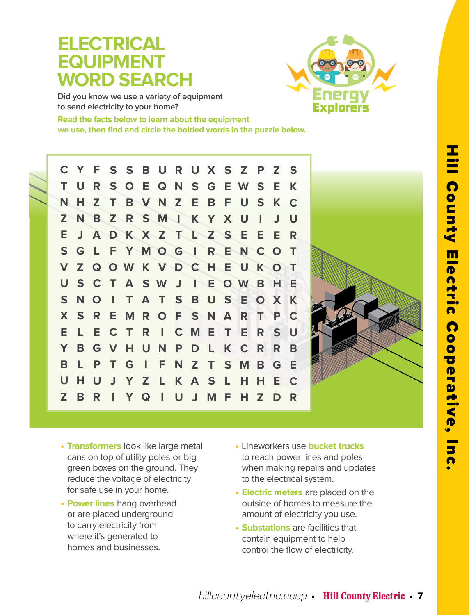## **ELECTRICAL EQUIPMENT WORD SEARCH**



**Did you know we use a variety of equipment to send electricity to your home?** 

**Read the facts below to learn about the equipment we use, then find and circle the bolded words in the puzzle below.**



**C T N Z E S V U S X E Y B U Z Y U H N J A D G L Z S N S R L B L H B R F R Z B Q C O E G P U S S T Z F O W T I E C V T J I S B U R U X S Z O B V R K X Z Y A T M R T R H U G Y Y E S M K S A I Z Q Q N M O V W T O I N F L I N Z I T G D J S F C P N K U S E K**   $\Gamma$ **I C I B S M D Z A J G B Y Z R E H E U N E L T S M F E F X S E O W S A T K S L W U U E N C U K O E O X R E R S C M H H Z D R P Z S S I E E B H T P R R B H E K J O G E S K C U R T T E K C U B E C**  Hill County Electric Cooperative, Inc.**ill County Electric Cooperative.** Inc

- **• Transformers** look like large metal cans on top of utility poles or big green boxes on the ground. They reduce the voltage of electricity for safe use in your home.
- **• Power lines** hang overhead or are placed underground to carry electricity from where it's generated to homes and businesses.
- **•** Lineworkers use **bucket trucks**  to reach power lines and poles when making repairs and updates to the electrical system.
- **• Electric meters** are placed on the outside of homes to measure the amount of electricity you use.
- **• Substations** are facilities that contain equipment to help control the flow of electricity.